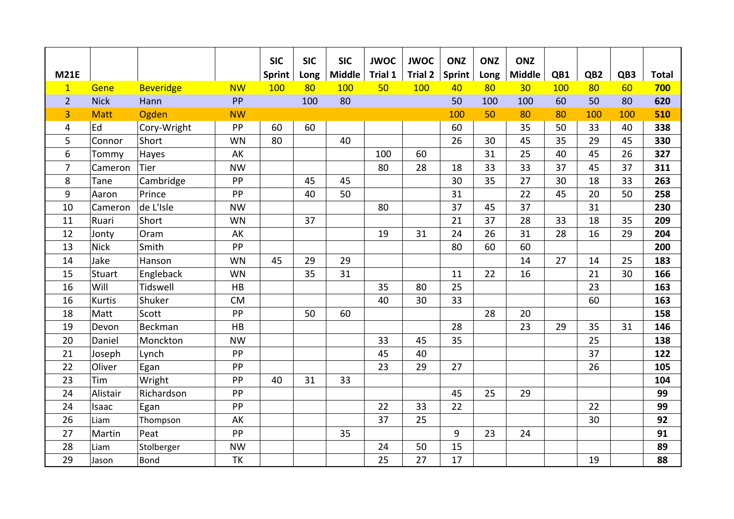|                |             |                  |           | <b>SIC</b>    | <b>SIC</b> | <b>SIC</b>    | <b>JWOC</b> | <b>JWOC</b>    | <b>ONZ</b> | <b>ONZ</b> | <b>ONZ</b>      |     |                 |     |              |
|----------------|-------------|------------------|-----------|---------------|------------|---------------|-------------|----------------|------------|------------|-----------------|-----|-----------------|-----|--------------|
| <b>M21E</b>    |             |                  |           | <b>Sprint</b> | Long       | <b>Middle</b> | Trial 1     | <b>Trial 2</b> | Sprint     | Long       | <b>Middle</b>   | QB1 | QB <sub>2</sub> | QB3 | <b>Total</b> |
| $\mathbf{1}$   | Gene        | <b>Beveridge</b> | <b>NW</b> | 100           | 80         | 100           | 50          | 100            | 40         | 80         | 30 <sub>2</sub> | 100 | 80              | 60  | 700          |
| $\overline{2}$ | <b>Nick</b> | Hann             | PP        |               | 100        | 80            |             |                | 50         | 100        | 100             | 60  | 50              | 80  | 620          |
| 3              | <b>Matt</b> | Ogden            | <b>NW</b> |               |            |               |             |                | 100        | 50         | 80              | 80  | 100             | 100 | 510          |
| 4              | Ed          | Cory-Wright      | PP        | 60            | 60         |               |             |                | 60         |            | 35              | 50  | 33              | 40  | 338          |
| 5              | Connor      | Short            | <b>WN</b> | 80            |            | 40            |             |                | 26         | 30         | 45              | 35  | 29              | 45  | 330          |
| 6              | Tommy       | Hayes            | AK        |               |            |               | 100         | 60             |            | 31         | 25              | 40  | 45              | 26  | 327          |
| $\overline{7}$ | Cameron     | <b>Tier</b>      | <b>NW</b> |               |            |               | 80          | 28             | 18         | 33         | 33              | 37  | 45              | 37  | 311          |
| 8              | Tane        | Cambridge        | PP        |               | 45         | 45            |             |                | 30         | 35         | 27              | 30  | 18              | 33  | 263          |
| 9              | Aaron       | Prince           | PP        |               | 40         | 50            |             |                | 31         |            | 22              | 45  | 20              | 50  | 258          |
| 10             | Cameron     | de L'Isle        | <b>NW</b> |               |            |               | 80          |                | 37         | 45         | 37              |     | 31              |     | 230          |
| 11             | Ruari       | Short            | WN        |               | 37         |               |             |                | 21         | 37         | 28              | 33  | 18              | 35  | 209          |
| 12             | Jonty       | Oram             | AK        |               |            |               | 19          | 31             | 24         | 26         | 31              | 28  | 16              | 29  | 204          |
| 13             | <b>Nick</b> | Smith            | PP        |               |            |               |             |                | 80         | 60         | 60              |     |                 |     | 200          |
| 14             | Jake        | Hanson           | <b>WN</b> | 45            | 29         | 29            |             |                |            |            | 14              | 27  | 14              | 25  | 183          |
| 15             | Stuart      | Engleback        | WN        |               | 35         | 31            |             |                | 11         | 22         | 16              |     | 21              | 30  | 166          |
| 16             | Will        | Tidswell         | HB        |               |            |               | 35          | 80             | 25         |            |                 |     | 23              |     | 163          |
| 16             | Kurtis      | Shuker           | CM        |               |            |               | 40          | 30             | 33         |            |                 |     | 60              |     | 163          |
| 18             | Matt        | Scott            | PP        |               | 50         | 60            |             |                |            | 28         | 20              |     |                 |     | 158          |
| 19             | Devon       | Beckman          | HB        |               |            |               |             |                | 28         |            | 23              | 29  | 35              | 31  | 146          |
| 20             | Daniel      | Monckton         | <b>NW</b> |               |            |               | 33          | 45             | 35         |            |                 |     | 25              |     | 138          |
| 21             | Joseph      | Lynch            | PP        |               |            |               | 45          | 40             |            |            |                 |     | 37              |     | 122          |
| 22             | Oliver      | Egan             | PP        |               |            |               | 23          | 29             | 27         |            |                 |     | 26              |     | 105          |
| 23             | Tim         | Wright           | PP        | 40            | 31         | 33            |             |                |            |            |                 |     |                 |     | 104          |
| 24             | Alistair    | Richardson       | PP        |               |            |               |             |                | 45         | 25         | 29              |     |                 |     | 99           |
| 24             | Isaac       | Egan             | PP        |               |            |               | 22          | 33             | 22         |            |                 |     | 22              |     | 99           |
| 26             | Liam        | Thompson         | AK        |               |            |               | 37          | 25             |            |            |                 |     | 30              |     | 92           |
| 27             | Martin      | Peat             | PP        |               |            | 35            |             |                | 9          | 23         | 24              |     |                 |     | 91           |
| 28             | Liam        | Stolberger       | <b>NW</b> |               |            |               | 24          | 50             | 15         |            |                 |     |                 |     | 89           |
| 29             | Jason       | <b>Bond</b>      | TK        |               |            |               | 25          | 27             | 17         |            |                 |     | 19              |     | 88           |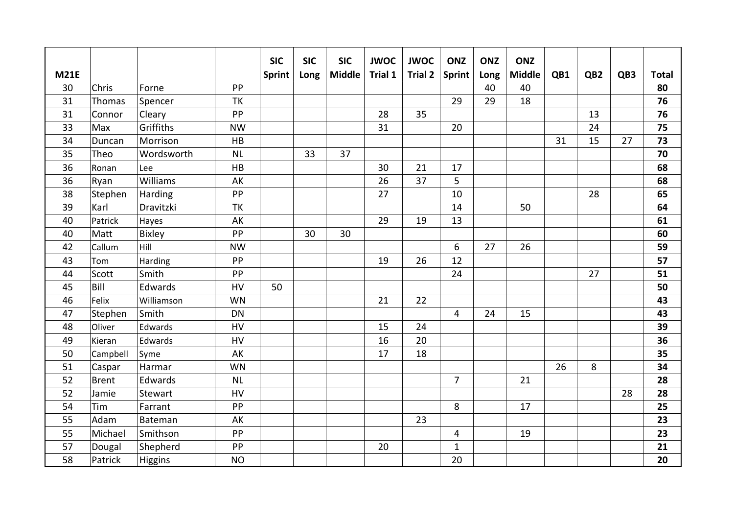|             |              |            |           | <b>SIC</b> | <b>SIC</b> | <b>SIC</b>    | <b>JWOC</b> | <b>JWOC</b>    | <b>ONZ</b>     | <b>ONZ</b> | <b>ONZ</b>    |     |                 |     |              |
|-------------|--------------|------------|-----------|------------|------------|---------------|-------------|----------------|----------------|------------|---------------|-----|-----------------|-----|--------------|
| <b>M21E</b> |              |            |           | Sprint     | Long       | <b>Middle</b> | Trial 1     | <b>Trial 2</b> | Sprint         | Long       | <b>Middle</b> | QB1 | QB <sub>2</sub> | QB3 | <b>Total</b> |
| 30          | Chris        | Forne      | PP        |            |            |               |             |                |                | 40         | 40            |     |                 |     | 80           |
| 31          | Thomas       | Spencer    | TK        |            |            |               |             |                | 29             | 29         | 18            |     |                 |     | 76           |
| 31          | Connor       | Cleary     | PP        |            |            |               | 28          | 35             |                |            |               |     | 13              |     | 76           |
| 33          | Max          | Griffiths  | <b>NW</b> |            |            |               | 31          |                | 20             |            |               |     | 24              |     | 75           |
| 34          | Duncan       | Morrison   | HB        |            |            |               |             |                |                |            |               | 31  | 15              | 27  | 73           |
| 35          | Theo         | Wordsworth | NL        |            | 33         | 37            |             |                |                |            |               |     |                 |     | 70           |
| 36          | Ronan        | Lee        | HB        |            |            |               | 30          | 21             | 17             |            |               |     |                 |     | 68           |
| 36          | Ryan         | Williams   | AK        |            |            |               | 26          | 37             | 5              |            |               |     |                 |     | 68           |
| 38          | Stephen      | Harding    | PP        |            |            |               | 27          |                | 10             |            |               |     | 28              |     | 65           |
| 39          | Karl         | Dravitzki  | TK        |            |            |               |             |                | 14             |            | 50            |     |                 |     | 64           |
| 40          | Patrick      | Hayes      | AK        |            |            |               | 29          | 19             | 13             |            |               |     |                 |     | 61           |
| 40          | Matt         | Bixley     | PP        |            | 30         | 30            |             |                |                |            |               |     |                 |     | 60           |
| 42          | Callum       | Hill       | <b>NW</b> |            |            |               |             |                | 6              | 27         | 26            |     |                 |     | 59           |
| 43          | Tom          | Harding    | PP        |            |            |               | 19          | 26             | 12             |            |               |     |                 |     | 57           |
| 44          | Scott        | Smith      | PP        |            |            |               |             |                | 24             |            |               |     | 27              |     | 51           |
| 45          | Bill         | Edwards    | HV        | 50         |            |               |             |                |                |            |               |     |                 |     | 50           |
| 46          | Felix        | Williamson | <b>WN</b> |            |            |               | 21          | 22             |                |            |               |     |                 |     | 43           |
| 47          | Stephen      | Smith      | <b>DN</b> |            |            |               |             |                | 4              | 24         | 15            |     |                 |     | 43           |
| 48          | Oliver       | Edwards    | HV        |            |            |               | 15          | 24             |                |            |               |     |                 |     | 39           |
| 49          | Kieran       | Edwards    | HV        |            |            |               | 16          | 20             |                |            |               |     |                 |     | 36           |
| 50          | Campbell     | Syme       | AK        |            |            |               | 17          | 18             |                |            |               |     |                 |     | 35           |
| 51          | Caspar       | Harmar     | <b>WN</b> |            |            |               |             |                |                |            |               | 26  | 8               |     | 34           |
| 52          | <b>Brent</b> | Edwards    | <b>NL</b> |            |            |               |             |                | $\overline{7}$ |            | 21            |     |                 |     | 28           |
| 52          | Jamie        | Stewart    | HV        |            |            |               |             |                |                |            |               |     |                 | 28  | 28           |
| 54          | Tim          | Farrant    | PP        |            |            |               |             |                | 8              |            | 17            |     |                 |     | 25           |
| 55          | Adam         | Bateman    | AK        |            |            |               |             | 23             |                |            |               |     |                 |     | 23           |
| 55          | Michael      | Smithson   | PP        |            |            |               |             |                | 4              |            | 19            |     |                 |     | 23           |
| 57          | Dougal       | Shepherd   | PP        |            |            |               | 20          |                | $\mathbf{1}$   |            |               |     |                 |     | 21           |
| 58          | Patrick      | Higgins    | <b>NO</b> |            |            |               |             |                | 20             |            |               |     |                 |     | 20           |